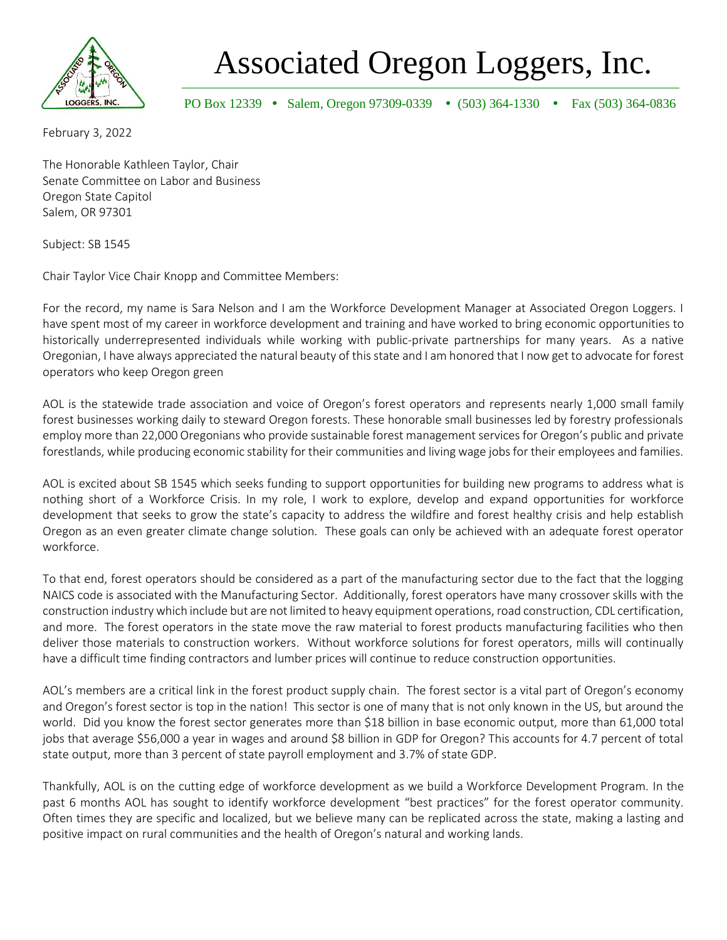

Associated Oregon Loggers, Inc.

PO Box 12339 • Salem, Oregon 97309-0339 • (503) 364-1330 • Fax (503) 364-0836

February 3, 2022

The Honorable Kathleen Taylor, Chair Senate Committee on Labor and Business Oregon State Capitol Salem, OR 97301

Subject: SB 1545

Chair Taylor Vice Chair Knopp and Committee Members:

For the record, my name is Sara Nelson and I am the Workforce Development Manager at Associated Oregon Loggers. I have spent most of my career in workforce development and training and have worked to bring economic opportunities to historically underrepresented individuals while working with public-private partnerships for many years. As a native Oregonian, I have always appreciated the natural beauty of this state and I am honored that I now get to advocate for forest operators who keep Oregon green

AOL is the statewide trade association and voice of Oregon's forest operators and represents nearly 1,000 small family forest businesses working daily to steward Oregon forests. These honorable small businesses led by forestry professionals employ more than 22,000 Oregonians who provide sustainable forest management services for Oregon's public and private forestlands, while producing economic stability for their communities and living wage jobs for their employees and families.

AOL is excited about SB 1545 which seeks funding to support opportunities for building new programs to address what is nothing short of a Workforce Crisis. In my role, I work to explore, develop and expand opportunities for workforce development that seeks to grow the state's capacity to address the wildfire and forest healthy crisis and help establish Oregon as an even greater climate change solution. These goals can only be achieved with an adequate forest operator workforce.

To that end, forest operators should be considered as a part of the manufacturing sector due to the fact that the logging NAICS code is associated with the Manufacturing Sector. Additionally, forest operators have many crossover skills with the construction industry which include but are not limited to heavy equipment operations, road construction, CDL certification, and more. The forest operators in the state move the raw material to forest products manufacturing facilities who then deliver those materials to construction workers. Without workforce solutions for forest operators, mills will continually have a difficult time finding contractors and lumber prices will continue to reduce construction opportunities.

AOL's members are a critical link in the forest product supply chain. The forest sector is a vital part of Oregon's economy and Oregon's forest sector is top in the nation! This sector is one of many that is not only known in the US, but around the world. Did you know the forest sector generates more than \$18 billion in base economic output, more than 61,000 total jobs that average \$56,000 a year in wages and around \$8 billion in GDP for Oregon? This accounts for 4.7 percent of total state output, more than 3 percent of state payroll employment and 3.7% of state GDP.

Thankfully, AOL is on the cutting edge of workforce development as we build a Workforce Development Program. In the past 6 months AOL has sought to identify workforce development "best practices" for the forest operator community. Often times they are specific and localized, but we believe many can be replicated across the state, making a lasting and positive impact on rural communities and the health of Oregon's natural and working lands.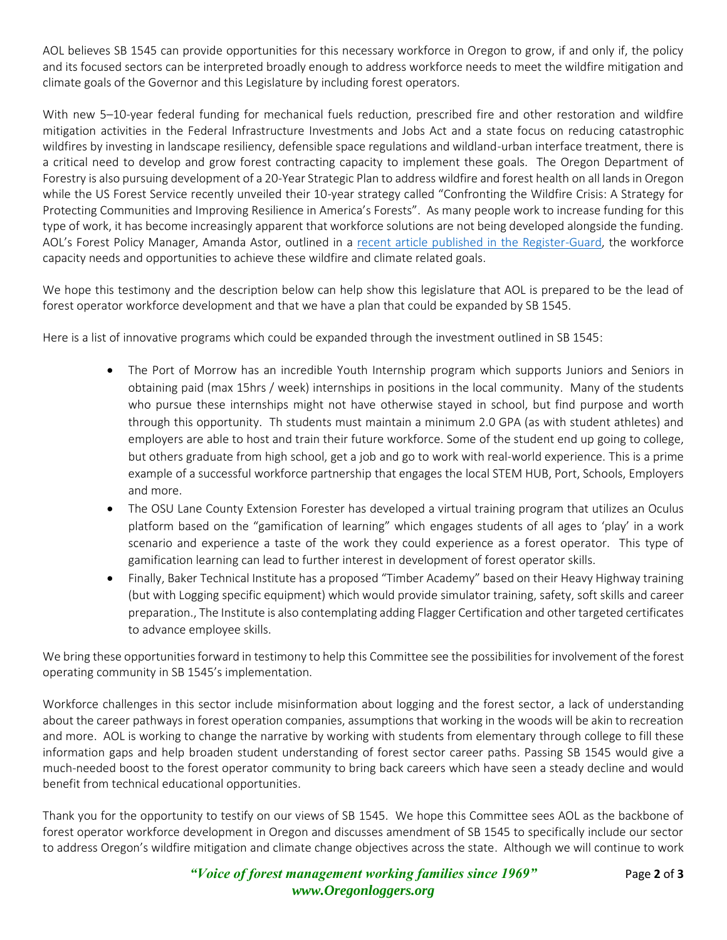AOL believes SB 1545 can provide opportunities for this necessary workforce in Oregon to grow, if and only if, the policy and its focused sectors can be interpreted broadly enough to address workforce needs to meet the wildfire mitigation and climate goals of the Governor and this Legislature by including forest operators.

With new 5–10-year federal funding for mechanical fuels reduction, prescribed fire and other restoration and wildfire mitigation activities in the Federal Infrastructure Investments and Jobs Act and a state focus on reducing catastrophic wildfires by investing in landscape resiliency, defensible space regulations and wildland-urban interface treatment, there is a critical need to develop and grow forest contracting capacity to implement these goals. The Oregon Department of Forestry is also pursuing development of a 20-Year Strategic Plan to address wildfire and forest health on all lands in Oregon while the US Forest Service recently unveiled their 10-year strategy called "Confronting the Wildfire Crisis: A Strategy for Protecting Communities and Improving Resilience in America's Forests". As many people work to increase funding for this type of work, it has become increasingly apparent that workforce solutions are not being developed alongside the funding. AOL's Forest Policy Manager, Amanda Astor, outlined in a [recent article published in the Register-Guard,](https://www.registerguard.com/story/opinion/columns/2021/12/18/workforce-solutions-needed-oregon-forestry-employment-visas-immigrants/8927301002/) the workforce capacity needs and opportunities to achieve these wildfire and climate related goals.

We hope this testimony and the description below can help show this legislature that AOL is prepared to be the lead of forest operator workforce development and that we have a plan that could be expanded by SB 1545.

Here is a list of innovative programs which could be expanded through the investment outlined in SB 1545:

- The Port of Morrow has an incredible Youth Internship program which supports Juniors and Seniors in obtaining paid (max 15hrs / week) internships in positions in the local community. Many of the students who pursue these internships might not have otherwise stayed in school, but find purpose and worth through this opportunity. Th students must maintain a minimum 2.0 GPA (as with student athletes) and employers are able to host and train their future workforce. Some of the student end up going to college, but others graduate from high school, get a job and go to work with real-world experience. This is a prime example of a successful workforce partnership that engages the local STEM HUB, Port, Schools, Employers and more.
- The OSU Lane County Extension Forester has developed a virtual training program that utilizes an Oculus platform based on the "gamification of learning" which engages students of all ages to 'play' in a work scenario and experience a taste of the work they could experience as a forest operator. This type of gamification learning can lead to further interest in development of forest operator skills.
- Finally, Baker Technical Institute has a proposed "Timber Academy" based on their Heavy Highway training (but with Logging specific equipment) which would provide simulator training, safety, soft skills and career preparation., The Institute is also contemplating adding Flagger Certification and other targeted certificates to advance employee skills.

We bring these opportunities forward in testimony to help this Committee see the possibilities for involvement of the forest operating community in SB 1545's implementation.

Workforce challenges in this sector include misinformation about logging and the forest sector, a lack of understanding about the career pathways in forest operation companies, assumptions that working in the woods will be akin to recreation and more. AOL is working to change the narrative by working with students from elementary through college to fill these information gaps and help broaden student understanding of forest sector career paths. Passing SB 1545 would give a much-needed boost to the forest operator community to bring back careers which have seen a steady decline and would benefit from technical educational opportunities.

Thank you for the opportunity to testify on our views of SB 1545. We hope this Committee sees AOL as the backbone of forest operator workforce development in Oregon and discusses amendment of SB 1545 to specifically include our sector to address Oregon's wildfire mitigation and climate change objectives across the state. Although we will continue to work